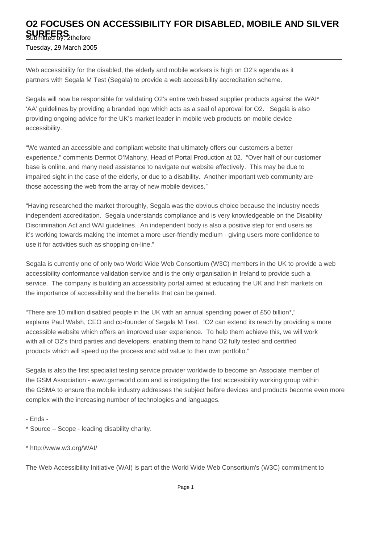## **O2 FOCUSES ON ACCESSIBILITY FOR DISABLED, MOBILE AND SILVER SURFERS**<br>Submitted by: 2thefore

Tuesday, 29 March 2005

Web accessibility for the disabled, the elderly and mobile workers is high on O2's agenda as it partners with Segala M Test (Segala) to provide a web accessibility accreditation scheme.

Segala will now be responsible for validating O2's entire web based supplier products against the WAI\* 'AA' guidelines by providing a branded logo which acts as a seal of approval for O2. Segala is also providing ongoing advice for the UK's market leader in mobile web products on mobile device accessibility.

"We wanted an accessible and compliant website that ultimately offers our customers a better experience," comments Dermot O'Mahony, Head of Portal Production at 02. "Over half of our customer base is online, and many need assistance to navigate our website effectively. This may be due to impaired sight in the case of the elderly, or due to a disability. Another important web community are those accessing the web from the array of new mobile devices."

"Having researched the market thoroughly, Segala was the obvious choice because the industry needs independent accreditation. Segala understands compliance and is very knowledgeable on the Disability Discrimination Act and WAI guidelines. An independent body is also a positive step for end users as it's working towards making the internet a more user-friendly medium - giving users more confidence to use it for activities such as shopping on-line."

Segala is currently one of only two World Wide Web Consortium (W3C) members in the UK to provide a web accessibility conformance validation service and is the only organisation in Ireland to provide such a service. The company is building an accessibility portal aimed at educating the UK and Irish markets on the importance of accessibility and the benefits that can be gained.

"There are 10 million disabled people in the UK with an annual spending power of £50 billion\*," explains Paul Walsh, CEO and co-founder of Segala M Test. "O2 can extend its reach by providing a more accessible website which offers an improved user experience. To help them achieve this, we will work with all of O2's third parties and developers, enabling them to hand O2 fully tested and certified products which will speed up the process and add value to their own portfolio."

Segala is also the first specialist testing service provider worldwide to become an Associate member of the GSM Association - www.gsmworld.com and is instigating the first accessibility working group within the GSMA to ensure the mobile industry addresses the subject before devices and products become even more complex with the increasing number of technologies and languages.

- Ends -

\* Source – Scope - leading disability charity.

\* http://www.w3.org/WAI/

The Web Accessibility Initiative (WAI) is part of the World Wide Web Consortium's (W3C) commitment to